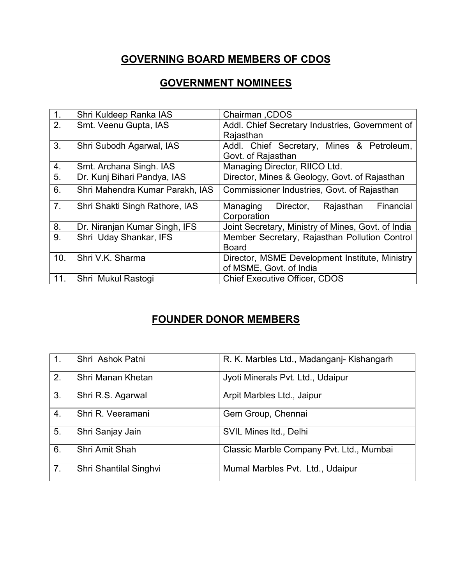## **GOVERNING BOARD MEMBERS OF CDOS**

## **GOVERNMENT NOMINEES**

| 1.             | Shri Kuldeep Ranka IAS          | Chairman, CDOS                                     |
|----------------|---------------------------------|----------------------------------------------------|
| 2.             | Smt. Veenu Gupta, IAS           | Addl. Chief Secretary Industries, Government of    |
|                |                                 | Rajasthan                                          |
| 3.             | Shri Subodh Agarwal, IAS        | Addl. Chief Secretary, Mines & Petroleum,          |
|                |                                 | Govt. of Rajasthan                                 |
| 4.             | Smt. Archana Singh. IAS         | Managing Director, RIICO Ltd.                      |
| 5.             | Dr. Kunj Bihari Pandya, IAS     | Director, Mines & Geology, Govt. of Rajasthan      |
| 6.             | Shri Mahendra Kumar Parakh, IAS | Commissioner Industries, Govt. of Rajasthan        |
| 7 <sub>1</sub> | Shri Shakti Singh Rathore, IAS  | Director,<br>Rajasthan<br>Financial<br>Managing    |
|                |                                 | Corporation                                        |
| 8.             | Dr. Niranjan Kumar Singh, IFS   | Joint Secretary, Ministry of Mines, Govt. of India |
| 9.             | Shri Uday Shankar, IFS          | Member Secretary, Rajasthan Pollution Control      |
|                |                                 | <b>Board</b>                                       |
| 10.            | Shri V.K. Sharma                | Director, MSME Development Institute, Ministry     |
|                |                                 | of MSME, Govt. of India                            |
| 11.            | Shri Mukul Rastogi              | <b>Chief Executive Officer, CDOS</b>               |

## **FOUNDER DONOR MEMBERS**

| 1.             | Shri Ashok Patni       | R. K. Marbles Ltd., Madanganj- Kishangarh |
|----------------|------------------------|-------------------------------------------|
| 2.             | Shri Manan Khetan      | Jyoti Minerals Pvt. Ltd., Udaipur         |
| 3.             | Shri R.S. Agarwal      | Arpit Marbles Ltd., Jaipur                |
| 4.             | Shri R. Veeramani      | Gem Group, Chennai                        |
| 5.             | Shri Sanjay Jain       | SVIL Mines Itd., Delhi                    |
| 6.             | Shri Amit Shah         | Classic Marble Company Pvt. Ltd., Mumbai  |
| 7 <sub>1</sub> | Shri Shantilal Singhvi | Mumal Marbles Pvt. Ltd., Udaipur          |